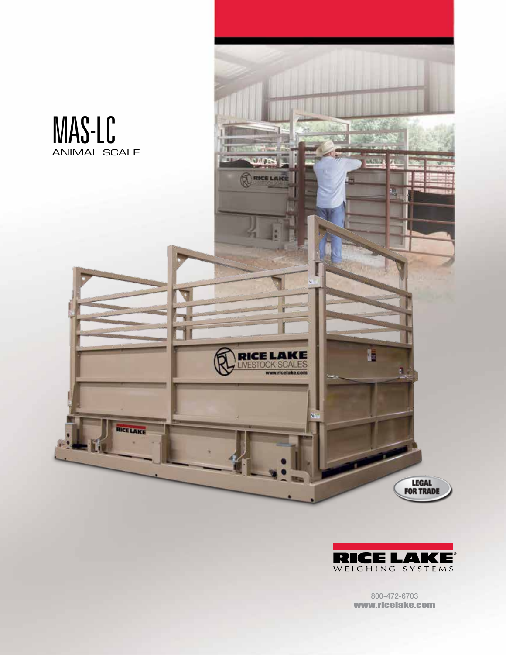



800-472-6703 www.ricelake.com